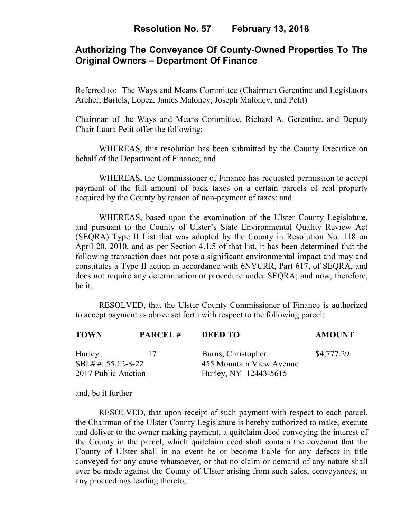## **Resolution No. 57 February 13, 2018**

# **Authorizing The Conveyance Of County-Owned Properties To The Original Owners – Department Of Finance**

Referred to: The Ways and Means Committee (Chairman Gerentine and Legislators Archer, Bartels, Lopez, James Maloney, Joseph Maloney, and Petit)

Chairman of the Ways and Means Committee, Richard A. Gerentine, and Deputy Chair Laura Petit offer the following:

WHEREAS, this resolution has been submitted by the County Executive on behalf of the Department of Finance; and

 WHEREAS, the Commissioner of Finance has requested permission to accept payment of the full amount of back taxes on a certain parcels of real property acquired by the County by reason of non-payment of taxes; and

WHEREAS, based upon the examination of the Ulster County Legislature, and pursuant to the County of Ulster's State Environmental Quality Review Act (SEQRA) Type II List that was adopted by the County in Resolution No. 118 on April 20, 2010, and as per Section 4.1.5 of that list, it has been determined that the following transaction does not pose a significant environmental impact and may and constitutes a Type II action in accordance with 6NYCRR, Part 617, of SEQRA, and does not require any determination or procedure under SEQRA; and now, therefore, be it,

 RESOLVED, that the Ulster County Commissioner of Finance is authorized to accept payment as above set forth with respect to the following parcel:

| <b>TOWN</b>                                         | <b>PARCEL#</b> | <b>DEED TO</b>                                                          | <b>AMOUNT</b> |
|-----------------------------------------------------|----------------|-------------------------------------------------------------------------|---------------|
| Hurley<br>SBL# #: 55.12-8-22<br>2017 Public Auction | - 17           | Burns, Christopher<br>455 Mountain View Avenue<br>Hurley, NY 12443-5615 | \$4,777.29    |

and, be it further

RESOLVED, that upon receipt of such payment with respect to each parcel, the Chairman of the Ulster County Legislature is hereby authorized to make, execute and deliver to the owner making payment, a quitclaim deed conveying the interest of the County in the parcel, which quitclaim deed shall contain the covenant that the County of Ulster shall in no event be or become liable for any defects in title conveyed for any cause whatsoever, or that no claim or demand of any nature shall ever be made against the County of Ulster arising from such sales, conveyances, or any proceedings leading thereto,